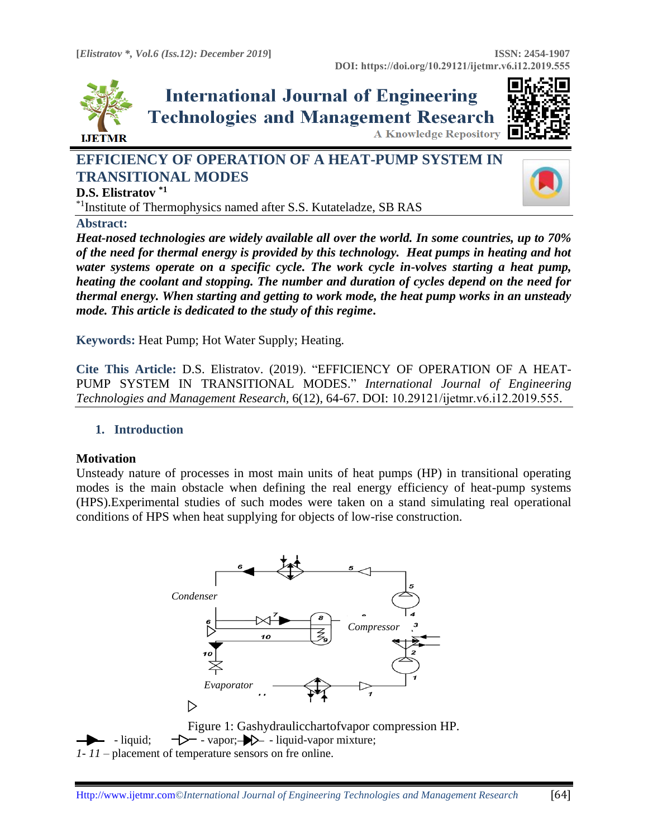

# **International Journal of Engineering Technologies and Management Research**



**A Knowledge Repository** 

# **EFFICIENCY OF OPERATION OF A HEAT-PUMP SYSTEM IN TRANSITIONAL MODES**



**D.S. Elistratov \*1**

\*1Institute of Thermophysics named after S.S. Kutateladze, SB RAS

**Abstract:** 

*Heat-nosed technologies are widely available all over the world. In some countries, up to 70% of the need for thermal energy is provided by this technology. Heat pumps in heating and hot water systems operate on a specific cycle. The work cycle in-volves starting a heat pump, heating the coolant and stopping. The number and duration of cycles depend on the need for thermal energy. When starting and getting to work mode, the heat pump works in an unsteady mode. This article is dedicated to the study of this regime***.**

**Keywords:** Heat Pump; Hot Water Supply; Heating*.* 

**Cite This Article:** D.S. Elistratov. (2019). "EFFICIENCY OF OPERATION OF A HEAT-PUMP SYSTEM IN TRANSITIONAL MODES." *International Journal of Engineering Technologies and Management Research,* 6(12), 64-67. DOI: 10.29121/ijetmr.v6.i12.2019.555.

## **1. Introduction**

## **Motivation**

Unsteady nature of processes in most main units of heat pumps (HP) in transitional operating modes is the main obstacle when defining the real energy efficiency of heat-pump systems (HPS).Experimental studies of such modes were taken on a stand simulating real operational conditions of HPS when heat supplying for objects of low-rise construction.



Figure 1: Gashydraulicchartofvapor compression HP. - liquid;  $\rightarrow$  - vapor;  $\rightarrow$  - liquid-vapor mixture; *1- 11* – placement of temperature sensors on fre online.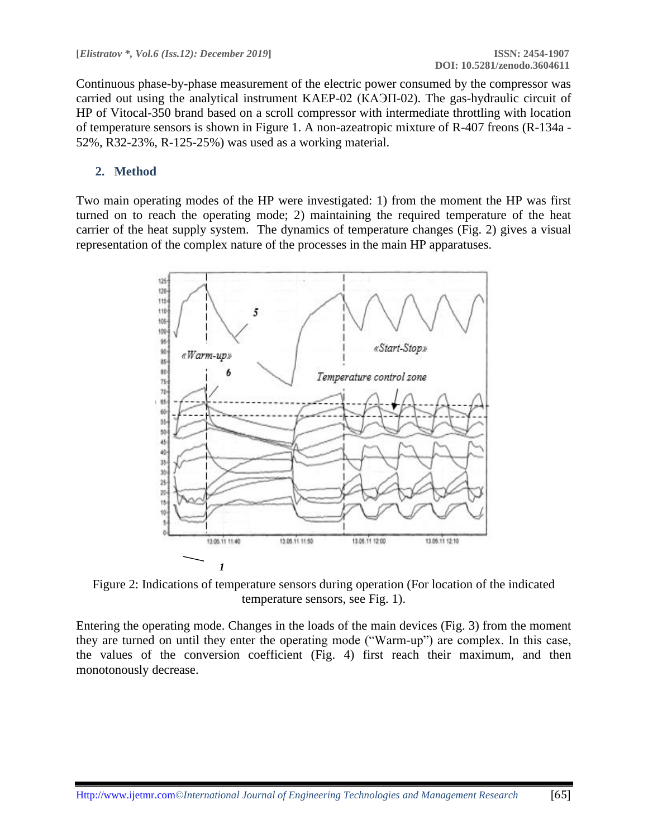Continuous phase-by-phase measurement of the electric power consumed by the compressor was carried out using the analytical instrument KAEP-02 (КАЭП-02). The gas-hydraulic circuit of HP of Vitocal-350 brand based on a scroll compressor with intermediate throttling with location of temperature sensors is shown in Figure 1. A non-azeatropic mixture of R-407 freons (R-134a - 52%, R32-23%, R-125-25%) was used as a working material.

#### **2. Method**

Two main operating modes of the HP were investigated: 1) from the moment the HP was first turned on to reach the operating mode; 2) maintaining the required temperature of the heat carrier of the heat supply system. The dynamics of temperature changes (Fig. 2) gives a visual representation of the complex nature of the processes in the main HP apparatuses.



Figure 2: Indications of temperature sensors during operation (For location of the indicated temperature sensors, see Fig. 1).

Entering the operating mode. Changes in the loads of the main devices (Fig. 3) from the moment they are turned on until they enter the operating mode ("Warm-up") are complex. In this case, the values of the conversion coefficient (Fig. 4) first reach their maximum, and then monotonously decrease.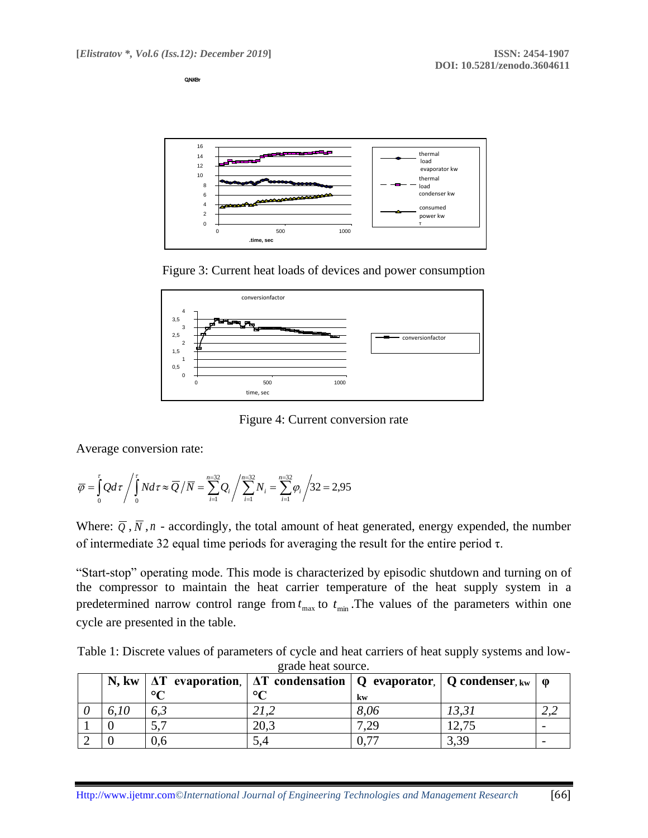**Q,N.КВт**







Figure 4: Current conversion rate

Average conversion rate:

$$
\overline{\varphi} = \int_{0}^{t} Q d\tau / \int_{0}^{t} N d\tau \approx \overline{Q} / \overline{N} = \sum_{i=1}^{n=32} Q_i / \sum_{i=1}^{n=32} N_i = \sum_{i=1}^{n=32} \varphi_i / 32 = 2,95
$$

Where:  $\overline{Q}$ ,  $\overline{N}$ , *n* - accordingly, the total amount of heat generated, energy expended, the number of intermediate 32 equal time periods for averaging the result for the entire period τ.

"Start-stop" operating mode. This mode is characterized by episodic shutdown and turning on of the compressor to maintain the heat carrier temperature of the heat supply system in a predetermined narrow control range from  $t_{\text{max}}$  to  $t_{\text{min}}$ . The values of the parameters within one cycle are presented in the table.

Table 1: Discrete values of parameters of cycle and heat carriers of heat supply systems and lowgrade heat source.

|      |         | N, kw   $\Delta T$ evaporation,   $\Delta T$ condensation   Q evaporator,   Q condenser, kw   $\varphi$ |      |                  |  |
|------|---------|---------------------------------------------------------------------------------------------------------|------|------------------|--|
|      | $\circ$ | $\circ$                                                                                                 | kw   |                  |  |
| 6.10 |         |                                                                                                         | 8,06 |                  |  |
|      |         | 20.3                                                                                                    | 7.29 |                  |  |
|      | 0.6     |                                                                                                         |      | 3,3 <sup>c</sup> |  |